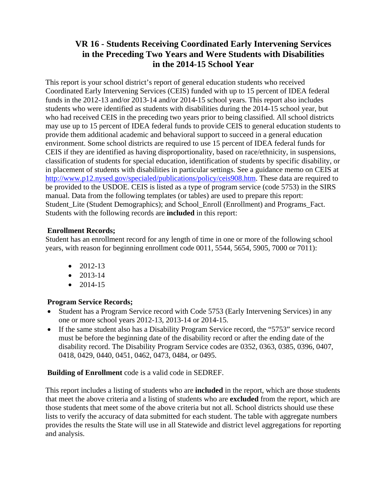# **VR 16 - Students Receiving Coordinated Early Intervening Services in the Preceding Two Years and Were Students with Disabilities in the 2014-15 School Year**

This report is your school district's report of general education students who received Coordinated Early Intervening Services (CEIS) funded with up to 15 percent of IDEA federal funds in the 2012-13 and/or 2013-14 and/or 2014-15 school years. This report also includes students who were identified as students with disabilities during the 2014-15 school year, but who had received CEIS in the preceding two years prior to being classified. All school districts may use up to 15 percent of IDEA federal funds to provide CEIS to general education students to provide them additional academic and behavioral support to succeed in a general education environment. Some school districts are required to use 15 percent of IDEA federal funds for CEIS if they are identified as having disproportionality, based on race/ethnicity, in suspensions, classification of students for special education, identification of students by specific disability, or in placement of students with disabilities in particular settings. See a guidance memo on CEIS at http://www.p12.nysed.gov/specialed/publications/policy/ceis908.htm. These data are required to be provided to the USDOE. CEIS is listed as a type of program service (code 5753) in the SIRS manual. Data from the following templates (or tables) are used to prepare this report: Student Lite (Student Demographics); and School Enroll (Enrollment) and Programs Fact. Students with the following records are **included** in this report:

#### **Enrollment Records;**

Student has an enrollment record for any length of time in one or more of the following school years, with reason for beginning enrollment code 0011, 5544, 5654, 5905, 7000 or 7011):

- $\bullet$  2012-13
- $\bullet$  2013-14
- $\bullet$  2014-15

## **Program Service Records;**

- Student has a Program Service record with Code 5753 (Early Intervening Services) in any one or more school years 2012-13, 2013-14 or 2014-15.
- If the same student also has a Disability Program Service record, the "5753" service record must be before the beginning date of the disability record or after the ending date of the disability record. The Disability Program Service codes are 0352, 0363, 0385, 0396, 0407, 0418, 0429, 0440, 0451, 0462, 0473, 0484, or 0495.

## **Building of Enrollment** code is a valid code in SEDREF.

This report includes a listing of students who are **included** in the report, which are those students that meet the above criteria and a listing of students who are **excluded** from the report, which are those students that meet some of the above criteria but not all. School districts should use these lists to verify the accuracy of data submitted for each student. The table with aggregate numbers provides the results the State will use in all Statewide and district level aggregations for reporting and analysis.